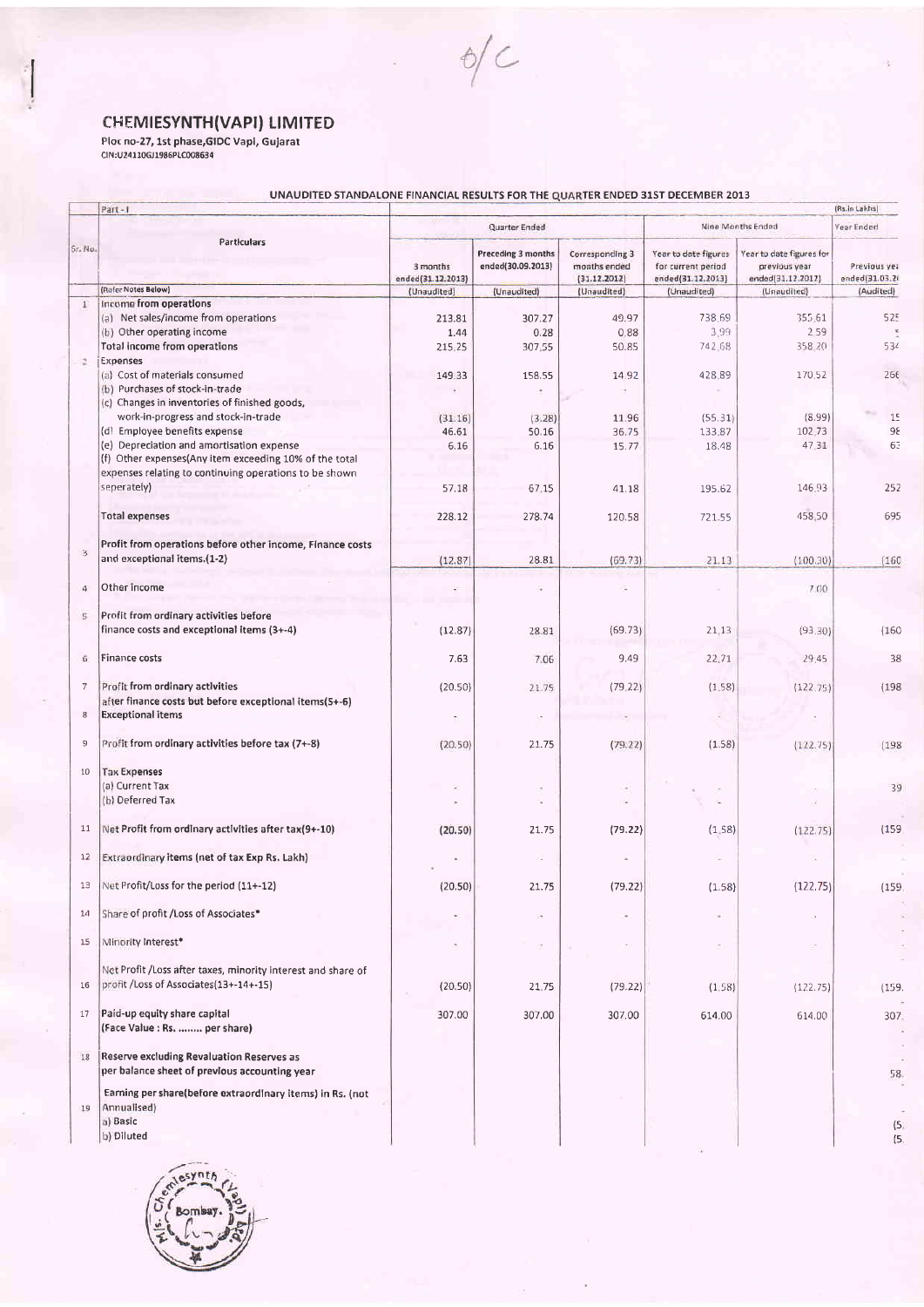CHEMIESYNTH(VAPI) LIMITED<br>Ploc no-27, 1st phase,GIDC Vapi, Gujarat<br>CIN:U24110GJ1986PLC008634

## UNAUDITED STANDALONE FINANCIAL RESULTS FOR THE QUARTER ENDED 31ST DECEMBER 2013

 $6/C$ 

|                | Part - I                                                      |                               |                                         |                                                 |                                                                 |                                                                | (Rs. in Lakhs)                 |
|----------------|---------------------------------------------------------------|-------------------------------|-----------------------------------------|-------------------------------------------------|-----------------------------------------------------------------|----------------------------------------------------------------|--------------------------------|
| Sr. No.        | Particulars                                                   |                               | Quarter Ended                           |                                                 | Nine Months Ended                                               |                                                                | Year Ended                     |
|                |                                                               | 3 months<br>ended(31.12.2013) | Preceding 3 months<br>ended(30.09.2013) | Corresponding 3<br>months ended<br>(31.12.2012) | Year to date figures<br>for current period<br>ended(31.12.2013) | Year to date figures for<br>previous year<br>ended(31.12.2012) | Previous yet<br>ended(31.03.2) |
|                | (Refer Notes Below)                                           | (Unaudited)                   | (Unaudited)                             | (Unaudited)                                     | (Unaudited)                                                     | (Unaudited)                                                    | (Audited)                      |
| $\bot$         | income from operations                                        |                               |                                         |                                                 |                                                                 |                                                                |                                |
|                | (a) Net sales/income from operations                          | 213.81                        | 307.27                                  | 49.97                                           | 738.69                                                          | 355 61                                                         | <b>525</b>                     |
|                | (b) Other operating income                                    | 1.44                          | 0.28                                    | 0.88                                            | 3.99                                                            | 259                                                            |                                |
|                | <b>Total income from operations</b>                           | 215,25                        | 307.55                                  | 50.85                                           | 742 68                                                          | 358.20                                                         | 534                            |
| 2              | Expenses                                                      |                               |                                         |                                                 |                                                                 |                                                                |                                |
|                | (a) Cost of materials consumed                                | 149.33                        | 158.55                                  | 14.92                                           | 428.89                                                          | 170.52                                                         | 266                            |
|                | (b) Purchases of stock-in-trade                               |                               |                                         |                                                 |                                                                 |                                                                |                                |
|                | (c) Changes in inventories of finished goods,                 |                               |                                         |                                                 |                                                                 |                                                                |                                |
|                | work-in-progress and stock-in-trade                           |                               |                                         | 11.96                                           |                                                                 | (8.99)                                                         |                                |
|                | (d) Employee benefits expense                                 | (31.16)<br>46.61              | (3.28)                                  | 36.75                                           | (55.31)<br>133.87                                               | 102.73                                                         | 15                             |
|                | (e) Depreciation and amortisation expense                     |                               | 50.16                                   |                                                 |                                                                 |                                                                | 98                             |
|                | (f) Other expenses(Any item exceeding 10% of the total        | 6.16                          | 6.16                                    | 15.77                                           | 18.48                                                           | 47.31                                                          | 63                             |
|                |                                                               |                               |                                         |                                                 |                                                                 |                                                                |                                |
|                | expenses relating to continuing operations to be shown        |                               |                                         |                                                 |                                                                 |                                                                |                                |
|                | seperately)                                                   | 57.18                         | 67.15                                   | 41.18                                           | 195.62                                                          | 146.93                                                         | 252                            |
|                |                                                               |                               |                                         |                                                 |                                                                 |                                                                |                                |
|                | <b>Total expenses</b>                                         | 228.12                        | 278.74                                  | 120.58                                          | 721.55                                                          | 458.50                                                         | 695                            |
|                |                                                               |                               |                                         |                                                 |                                                                 |                                                                |                                |
| 3              | Profit from operations before other income, Finance costs     |                               |                                         |                                                 |                                                                 |                                                                |                                |
|                | and exceptional items.(1-2)                                   | (12.87)                       | 28.81                                   | (69.73)                                         | 21.13                                                           | (100.30)                                                       | (160)                          |
|                |                                                               |                               |                                         |                                                 |                                                                 |                                                                |                                |
| 4              | Other income                                                  |                               |                                         | ٤                                               |                                                                 | 7.00                                                           |                                |
|                |                                                               |                               |                                         |                                                 |                                                                 |                                                                |                                |
| S.             | Profit from ordinary activities before                        |                               |                                         |                                                 |                                                                 |                                                                |                                |
|                | finance costs and exceptional items (3+-4)                    | (12.87)                       | 28.81                                   | (69.73)                                         | 21,13                                                           | (93.30)                                                        | (160)                          |
|                |                                                               |                               |                                         |                                                 |                                                                 |                                                                |                                |
| 6.             | Finance costs                                                 | 7.63                          | 7.06                                    | 9.49                                            | 22.71                                                           | 29.45                                                          | 38                             |
|                |                                                               |                               |                                         |                                                 |                                                                 |                                                                |                                |
| $\overline{7}$ | Profit from ordinary activities                               | (20.50)                       | 21.75                                   | (79.22)                                         | (1,58)                                                          | (122.75)                                                       | (198                           |
|                | after finance costs but before exceptional items(5+-6)        |                               |                                         |                                                 |                                                                 |                                                                |                                |
| $_{\rm 8}$     | <b>Exceptional items</b>                                      |                               |                                         |                                                 |                                                                 |                                                                |                                |
|                |                                                               |                               |                                         |                                                 |                                                                 |                                                                |                                |
| $\mathsf{9}$   | Profit from ordinary activities before tax (7+-8)             | (20.50)                       | 21.75                                   | (79.22)                                         | (1.58)                                                          | (122.75)                                                       | (198                           |
|                |                                                               |                               |                                         |                                                 |                                                                 |                                                                |                                |
| 10             | <b>Tax Expenses</b>                                           |                               |                                         |                                                 |                                                                 |                                                                |                                |
|                | (a) Current Tax                                               |                               |                                         |                                                 |                                                                 |                                                                | 39                             |
|                | (b) Deferred Tax                                              |                               |                                         |                                                 |                                                                 |                                                                |                                |
|                |                                                               |                               |                                         |                                                 |                                                                 |                                                                |                                |
| 11             | Net Profit from ordinary activities after tax(9+-10)          | (20.50)                       | 21.75                                   | (79.22)                                         | (1, 58)                                                         | (122.75)                                                       | (159)                          |
|                |                                                               |                               |                                         |                                                 |                                                                 |                                                                |                                |
| 12             | Extraordinary items (net of tax Exp Rs. Lakh)                 |                               |                                         |                                                 |                                                                 |                                                                |                                |
|                |                                                               |                               |                                         |                                                 |                                                                 |                                                                |                                |
| 13             | Net Profit/Loss for the period (11+-12)                       | (20.50)                       | 21.75                                   | (79.22)                                         | (1.58)                                                          | (12.2.75)                                                      | (155)                          |
|                |                                                               |                               |                                         |                                                 |                                                                 |                                                                |                                |
| 14             | Share of profit / Loss of Associates*                         |                               |                                         |                                                 |                                                                 |                                                                |                                |
|                |                                                               |                               |                                         |                                                 |                                                                 |                                                                |                                |
| 15             | Minority Interest*                                            |                               |                                         |                                                 |                                                                 |                                                                |                                |
|                |                                                               |                               |                                         |                                                 |                                                                 |                                                                |                                |
|                | Net Profit / Loss after taxes, minority interest and share of |                               |                                         |                                                 |                                                                 |                                                                |                                |
| 16             | profit / Loss of Associates (13+-14+-15)                      | (20.50)                       | 21.75                                   | (79.22)                                         | (1.58)                                                          | (122.75)                                                       | (155)                          |
|                |                                                               |                               |                                         |                                                 |                                                                 |                                                                |                                |
| 17             | Paid-up equity share capital                                  | 307.00                        | 307,00                                  | 307.00                                          | 614.00                                                          | 614.00                                                         | 307                            |
|                | (Face Value : Rs.  per share)                                 |                               |                                         |                                                 |                                                                 |                                                                |                                |
|                |                                                               |                               |                                         |                                                 |                                                                 |                                                                |                                |
| 18             | Reserve excluding Revaluation Reserves as                     |                               |                                         |                                                 |                                                                 |                                                                |                                |
|                | per balance sheet of previous accounting year                 |                               |                                         |                                                 |                                                                 |                                                                | 58                             |
|                |                                                               |                               |                                         |                                                 |                                                                 |                                                                |                                |
|                | Earning per share(before extraordinary items) in Rs. (not     |                               |                                         |                                                 |                                                                 |                                                                |                                |
| 19             | Annualised)                                                   |                               |                                         |                                                 |                                                                 |                                                                |                                |
|                | a) Basic                                                      |                               |                                         |                                                 |                                                                 |                                                                | (5                             |
|                | b) Diluted                                                    |                               |                                         |                                                 |                                                                 |                                                                |                                |